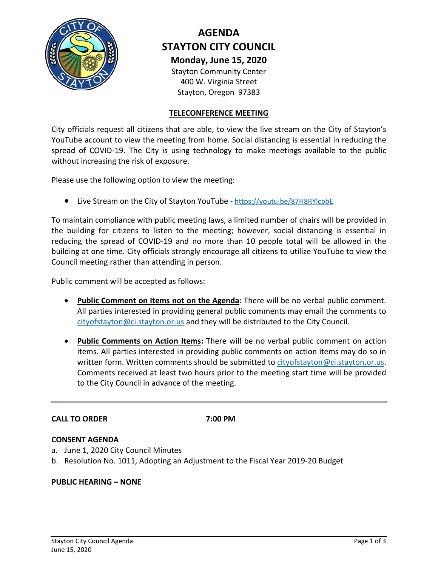

# **AGENDA STAYTON CITY COUNCIL Monday, June 15, 2020** Stayton Community Center

400 W. Virginia Street Stayton, Oregon 97383

#### **TELECONFERENCE MEETING**

City officials request all citizens that are able, to view the live stream on the City of Stayton's YouTube account to view the meeting from home. Social distancing is essential in reducing the spread of COVID-19. The City is using technology to make meetings available to the public without increasing the risk of exposure.

Please use the following option to view the meeting:

• Live Stream on the City of Stayton YouTube - <https://youtu.be/87H8RYlcpbE>

To maintain compliance with public meeting laws, a limited number of chairs will be provided in the building for citizens to listen to the meeting; however, social distancing is essential in reducing the spread of COVID-19 and no more than 10 people total will be allowed in the building at one time. City officials strongly encourage all citizens to utilize YouTube to view the Council meeting rather than attending in person.

Public comment will be accepted as follows:

- **Public Comment on Items not on the Agenda**: There will be no verbal public comment. All parties interested in providing general public comments may email the comments to [cityofstayton@ci.stayton.or.us](mailto:cityofstayton@ci.stayton.or.us) and they will be distributed to the City Council.
- **Public Comments on Action Items:** There will be no verbal public comment on action items. All parties interested in providing public comments on action items may do so in written form. Written comments should be submitted to [cityofstayton@ci.stayton.or.us.](mailto:cityofstayton@ci.stayton.or.us) Comments received at least two hours prior to the meeting start time will be provided to the City Council in advance of the meeting.

#### **CALL TO ORDER 7:00 PM**

#### **CONSENT AGENDA**

- a. June 1, 2020 City Council Minutes
- b. Resolution No. 1011, Adopting an Adjustment to the Fiscal Year 2019-20 Budget

#### **PUBLIC HEARING – NONE**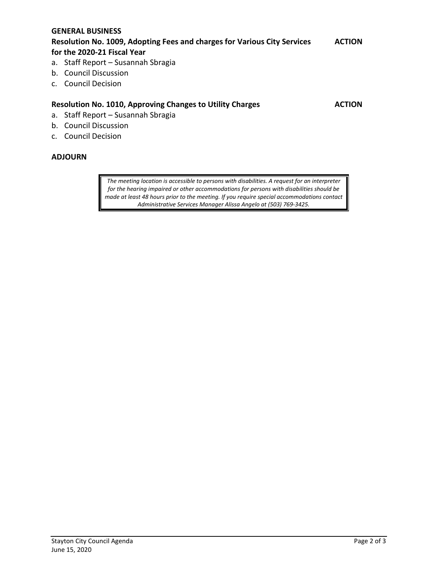#### **GENERAL BUSINESS**

#### **Resolution No. 1009, Adopting Fees and charges for Various City Services ACTION for the 2020-21 Fiscal Year**

- a. Staff Report Susannah Sbragia
- b. Council Discussion
- c. Council Decision

#### **Resolution No. 1010, Approving Changes to Utility Charges ACTION**

- a. Staff Report Susannah Sbragia
- b. Council Discussion
- c. Council Decision

#### **ADJOURN**

*The meeting location is accessible to persons with disabilities. A request for an interpreter for the hearing impaired or other accommodations for persons with disabilities should be made at least 48 hours prior to the meeting. If you require special accommodations contact Administrative Services Manager Alissa Angelo at (503) 769-3425.*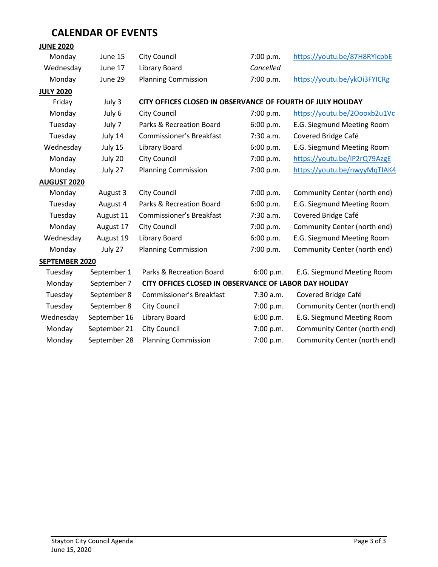# **CALENDAR OF EVENTS**

### **JUNE 2020**

| Monday             | June 15      | <b>City Council</b>                                         | 7:00 p.m. | https://youtu.be/87H8RYlcpbE |  |
|--------------------|--------------|-------------------------------------------------------------|-----------|------------------------------|--|
| Wednesday          | June 17      | Library Board                                               | Cancelled |                              |  |
| Monday             | June 29      | <b>Planning Commission</b>                                  | 7:00 p.m. | https://youtu.be/ykOi3FYICRg |  |
| <b>JULY 2020</b>   |              |                                                             |           |                              |  |
| Friday             | July 3       | CITY OFFICES CLOSED IN OBSERVANCE OF FOURTH OF JULY HOLIDAY |           |                              |  |
| Monday             | July 6       | <b>City Council</b>                                         | 7:00 p.m. | https://youtu.be/20ooxb2u1Vc |  |
| Tuesday            | July 7       | Parks & Recreation Board                                    | 6:00 p.m. | E.G. Siegmund Meeting Room   |  |
| Tuesday            | July 14      | Commissioner's Breakfast                                    | 7:30 a.m. | Covered Bridge Café          |  |
| Wednesday          | July 15      | Library Board                                               | 6:00 p.m. | E.G. Siegmund Meeting Room   |  |
| Monday             | July 20      | <b>City Council</b>                                         | 7:00 p.m. | https://youtu.be/IP2rQ79AzgE |  |
| Monday             | July 27      | <b>Planning Commission</b>                                  | 7:00 p.m. | https://youtu.be/nwyyMqTIAK4 |  |
| <b>AUGUST 2020</b> |              |                                                             |           |                              |  |
| Monday             | August 3     | <b>City Council</b>                                         | 7:00 p.m. | Community Center (north end) |  |
| Tuesday            | August 4     | Parks & Recreation Board                                    | 6:00 p.m. | E.G. Siegmund Meeting Room   |  |
| Tuesday            | August 11    | Commissioner's Breakfast                                    | 7:30 a.m. | Covered Bridge Café          |  |
| Monday             | August 17    | <b>City Council</b>                                         | 7:00 p.m. | Community Center (north end) |  |
| Wednesday          | August 19    | Library Board                                               | 6:00 p.m. | E.G. Siegmund Meeting Room   |  |
| Monday             | July 27      | <b>Planning Commission</b>                                  | 7:00 p.m. | Community Center (north end) |  |
| SEPTEMBER 2020     |              |                                                             |           |                              |  |
| Tuesday            | September 1  | Parks & Recreation Board                                    | 6:00 p.m. | E.G. Siegmund Meeting Room   |  |
| Monday             | September 7  | CITY OFFICES CLOSED IN OBSERVANCE OF LABOR DAY HOLIDAY      |           |                              |  |
| Tuesday            | September 8  | <b>Commissioner's Breakfast</b>                             | 7:30 a.m. | Covered Bridge Café          |  |
| Tuesday            | September 8  | <b>City Council</b>                                         | 7:00 p.m. | Community Center (north end) |  |
| Wednesday          | September 16 | Library Board                                               | 6:00 p.m. | E.G. Siegmund Meeting Room   |  |
| Monday             | September 21 | <b>City Council</b>                                         | 7:00 p.m. | Community Center (north end) |  |
| Monday             | September 28 | <b>Planning Commission</b>                                  | 7:00 p.m. | Community Center (north end) |  |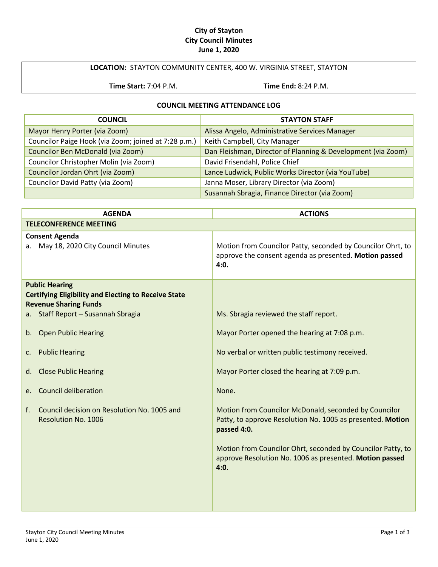#### **City of Stayton City Council Minutes June 1, 2020**

#### **LOCATION:** STAYTON COMMUNITY CENTER, 400 W. VIRGINIA STREET, STAYTON

**Time Start:** 7:04 P.M. **Time End:** 8:24 P.M.

#### **COUNCIL MEETING ATTENDANCE LOG**

| <b>COUNCIL</b>                                       | <b>STAYTON STAFF</b>                                         |  |
|------------------------------------------------------|--------------------------------------------------------------|--|
| Mayor Henry Porter (via Zoom)                        | Alissa Angelo, Administrative Services Manager               |  |
| Councilor Paige Hook (via Zoom; joined at 7:28 p.m.) | Keith Campbell, City Manager                                 |  |
| Councilor Ben McDonald (via Zoom)                    | Dan Fleishman, Director of Planning & Development (via Zoom) |  |
| Councilor Christopher Molin (via Zoom)               | David Frisendahl, Police Chief                               |  |
| Councilor Jordan Ohrt (via Zoom)                     | Lance Ludwick, Public Works Director (via YouTube)           |  |
| Councilor David Patty (via Zoom)                     | Janna Moser, Library Director (via Zoom)                     |  |
|                                                      | Susannah Sbragia, Finance Director (via Zoom)                |  |

| <b>AGENDA</b>                                                                                                                                              | <b>ACTIONS</b>                                                                                                                                                                                                                                                       |
|------------------------------------------------------------------------------------------------------------------------------------------------------------|----------------------------------------------------------------------------------------------------------------------------------------------------------------------------------------------------------------------------------------------------------------------|
| <b>TELECONFERENCE MEETING</b>                                                                                                                              |                                                                                                                                                                                                                                                                      |
| <b>Consent Agenda</b><br>May 18, 2020 City Council Minutes<br>а.                                                                                           | Motion from Councilor Patty, seconded by Councilor Ohrt, to<br>approve the consent agenda as presented. Motion passed<br>4:0.                                                                                                                                        |
| <b>Public Hearing</b><br><b>Certifying Eligibility and Electing to Receive State</b><br><b>Revenue Sharing Funds</b><br>a. Staff Report - Susannah Sbragia | Ms. Sbragia reviewed the staff report.                                                                                                                                                                                                                               |
| <b>Open Public Hearing</b><br>b.                                                                                                                           | Mayor Porter opened the hearing at 7:08 p.m.                                                                                                                                                                                                                         |
| <b>Public Hearing</b><br>c.                                                                                                                                | No verbal or written public testimony received.                                                                                                                                                                                                                      |
| <b>Close Public Hearing</b><br>d.                                                                                                                          | Mayor Porter closed the hearing at 7:09 p.m.                                                                                                                                                                                                                         |
| <b>Council deliberation</b><br>e.                                                                                                                          | None.                                                                                                                                                                                                                                                                |
| Council decision on Resolution No. 1005 and<br>f.<br><b>Resolution No. 1006</b>                                                                            | Motion from Councilor McDonald, seconded by Councilor<br>Patty, to approve Resolution No. 1005 as presented. Motion<br>passed 4:0.<br>Motion from Councilor Ohrt, seconded by Councilor Patty, to<br>approve Resolution No. 1006 as presented. Motion passed<br>4:0. |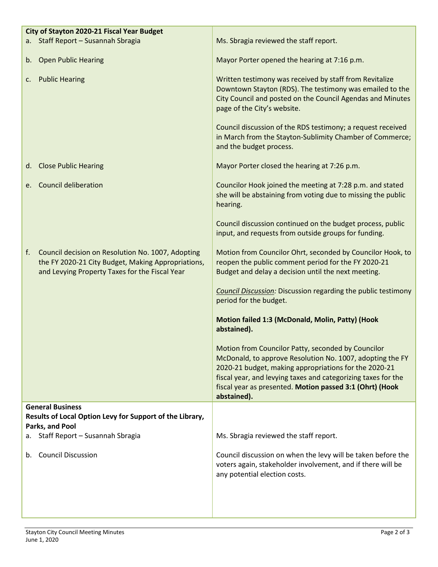| City of Stayton 2020-21 Fiscal Year Budget |                                                                                                                                                           |                                                                                                                                                                                                                                                                                                                      |
|--------------------------------------------|-----------------------------------------------------------------------------------------------------------------------------------------------------------|----------------------------------------------------------------------------------------------------------------------------------------------------------------------------------------------------------------------------------------------------------------------------------------------------------------------|
|                                            | a. Staff Report - Susannah Sbragia                                                                                                                        | Ms. Sbragia reviewed the staff report.                                                                                                                                                                                                                                                                               |
|                                            | b. Open Public Hearing                                                                                                                                    | Mayor Porter opened the hearing at 7:16 p.m.                                                                                                                                                                                                                                                                         |
| C.                                         | <b>Public Hearing</b>                                                                                                                                     | Written testimony was received by staff from Revitalize<br>Downtown Stayton (RDS). The testimony was emailed to the<br>City Council and posted on the Council Agendas and Minutes<br>page of the City's website.                                                                                                     |
|                                            |                                                                                                                                                           | Council discussion of the RDS testimony; a request received<br>in March from the Stayton-Sublimity Chamber of Commerce;<br>and the budget process.                                                                                                                                                                   |
|                                            | d. Close Public Hearing                                                                                                                                   | Mayor Porter closed the hearing at 7:26 p.m.                                                                                                                                                                                                                                                                         |
| e.                                         | <b>Council deliberation</b>                                                                                                                               | Councilor Hook joined the meeting at 7:28 p.m. and stated<br>she will be abstaining from voting due to missing the public<br>hearing.                                                                                                                                                                                |
|                                            |                                                                                                                                                           | Council discussion continued on the budget process, public<br>input, and requests from outside groups for funding.                                                                                                                                                                                                   |
| f.                                         | Council decision on Resolution No. 1007, Adopting<br>the FY 2020-21 City Budget, Making Appropriations,<br>and Levying Property Taxes for the Fiscal Year | Motion from Councilor Ohrt, seconded by Councilor Hook, to<br>reopen the public comment period for the FY 2020-21<br>Budget and delay a decision until the next meeting.                                                                                                                                             |
|                                            |                                                                                                                                                           | <b>Council Discussion:</b> Discussion regarding the public testimony<br>period for the budget.                                                                                                                                                                                                                       |
|                                            |                                                                                                                                                           | Motion failed 1:3 (McDonald, Molin, Patty) (Hook<br>abstained).                                                                                                                                                                                                                                                      |
|                                            |                                                                                                                                                           | Motion from Councilor Patty, seconded by Councilor<br>McDonald, to approve Resolution No. 1007, adopting the FY<br>2020-21 budget, making appropriations for the 2020-21<br>fiscal year, and levying taxes and categorizing taxes for the<br>fiscal year as presented. Motion passed 3:1 (Ohrt) (Hook<br>abstained). |
|                                            | <b>General Business</b>                                                                                                                                   |                                                                                                                                                                                                                                                                                                                      |
|                                            | Results of Local Option Levy for Support of the Library,<br>Parks, and Pool                                                                               |                                                                                                                                                                                                                                                                                                                      |
| а.                                         | Staff Report - Susannah Sbragia                                                                                                                           | Ms. Sbragia reviewed the staff report.                                                                                                                                                                                                                                                                               |
| b.                                         | <b>Council Discussion</b>                                                                                                                                 | Council discussion on when the levy will be taken before the<br>voters again, stakeholder involvement, and if there will be<br>any potential election costs.                                                                                                                                                         |
|                                            |                                                                                                                                                           |                                                                                                                                                                                                                                                                                                                      |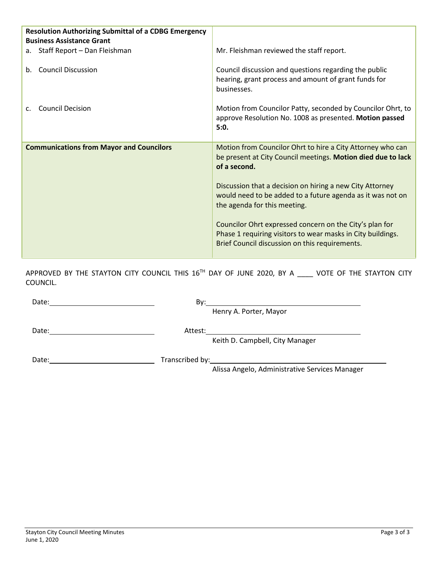| <b>Resolution Authorizing Submittal of a CDBG Emergency</b><br><b>Business Assistance Grant</b> |                                                                                                                                                                                                                                                                                                                                                                 |
|-------------------------------------------------------------------------------------------------|-----------------------------------------------------------------------------------------------------------------------------------------------------------------------------------------------------------------------------------------------------------------------------------------------------------------------------------------------------------------|
| a. Staff Report - Dan Fleishman                                                                 | Mr. Fleishman reviewed the staff report.                                                                                                                                                                                                                                                                                                                        |
| b. Council Discussion                                                                           | Council discussion and questions regarding the public<br>hearing, grant process and amount of grant funds for<br>businesses.                                                                                                                                                                                                                                    |
| <b>Council Decision</b>                                                                         | Motion from Councilor Patty, seconded by Councilor Ohrt, to<br>approve Resolution No. 1008 as presented. Motion passed<br>5:0.                                                                                                                                                                                                                                  |
| <b>Communications from Mayor and Councilors</b>                                                 | Motion from Councilor Ohrt to hire a City Attorney who can<br>be present at City Council meetings. Motion died due to lack<br>of a second.<br>Discussion that a decision on hiring a new City Attorney<br>would need to be added to a future agenda as it was not on<br>the agenda for this meeting.<br>Councilor Ohrt expressed concern on the City's plan for |
|                                                                                                 | Phase 1 requiring visitors to wear masks in City buildings.<br>Brief Council discussion on this requirements.                                                                                                                                                                                                                                                   |

APPROVED BY THE STAYTON CITY COUNCIL THIS 16<sup>TH</sup> DAY OF JUNE 2020, BY A \_\_\_\_ VOTE OF THE STAYTON CITY COUNCIL.

| Date: | Bv:                                            |  |
|-------|------------------------------------------------|--|
|       | Henry A. Porter, Mayor                         |  |
| Date: | Attest:                                        |  |
|       | Keith D. Campbell, City Manager                |  |
| Date: |                                                |  |
|       | Alissa Angelo, Administrative Services Manager |  |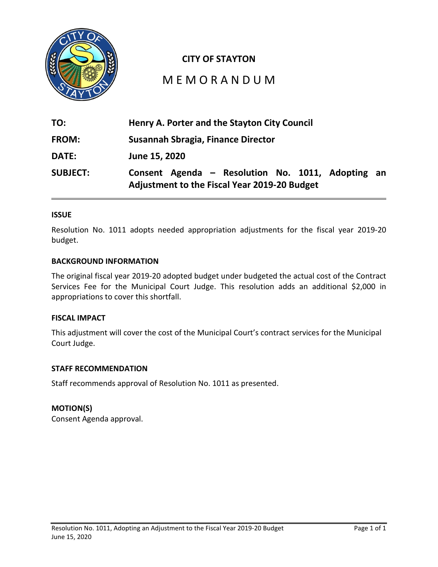

### **CITY OF STAYTON**

# M E M O R A N D U M

| TO:             | Henry A. Porter and the Stayton City Council                                                             |  |  |  |
|-----------------|----------------------------------------------------------------------------------------------------------|--|--|--|
| <b>FROM:</b>    | Susannah Sbragia, Finance Director                                                                       |  |  |  |
| <b>DATE:</b>    | June 15, 2020                                                                                            |  |  |  |
| <b>SUBJECT:</b> | Consent Agenda - Resolution No. 1011, Adopting an<br><b>Adjustment to the Fiscal Year 2019-20 Budget</b> |  |  |  |

#### **ISSUE**

Resolution No. 1011 adopts needed appropriation adjustments for the fiscal year 2019-20 budget.

#### **BACKGROUND INFORMATION**

The original fiscal year 2019-20 adopted budget under budgeted the actual cost of the Contract Services Fee for the Municipal Court Judge. This resolution adds an additional \$2,000 in appropriations to cover this shortfall.

#### **FISCAL IMPACT**

This adjustment will cover the cost of the Municipal Court's contract services for the Municipal Court Judge.

#### **STAFF RECOMMENDATION**

Staff recommends approval of Resolution No. 1011 as presented.

#### **MOTION(S)**

Consent Agenda approval.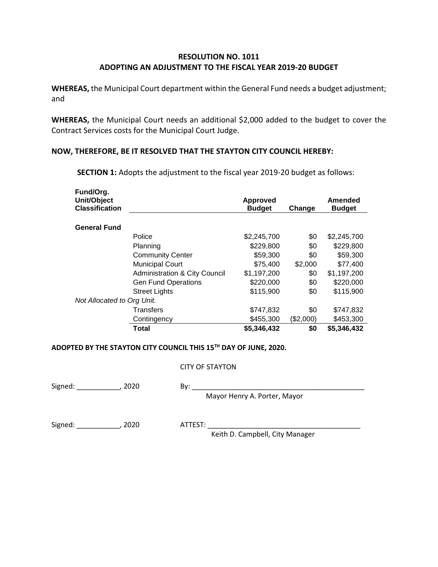#### **RESOLUTION NO. 1011 ADOPTING AN ADJUSTMENT TO THE FISCAL YEAR 2019-20 BUDGET**

**WHEREAS,** the Municipal Court department within the General Fund needs a budget adjustment; and

**WHEREAS,** the Municipal Court needs an additional \$2,000 added to the budget to cover the Contract Services costs for the Municipal Court Judge.

#### **NOW, THEREFORE, BE IT RESOLVED THAT THE STAYTON CITY COUNCIL HEREBY:**

**Fund/Org. Unit/Object Classification Approved Budget Change Amended Budget General Fund** Police \$2,245,700 \$0 \$2,245,700 Planning \$229,800 \$0 \$229,800 Community Center  $$59,300$   $$0$   $$59,300$ Municipal Court  $$75,400$  \$2,000 \$77,400 Administration & City Council \$1,197,200 \$0 \$1,197,200 Gen Fund Operations  $$220,000$   $$0$  \$220,000 Street Lights **\$115,900** \$0 \$115,900 *Not Allocated to Org Unit.*  Transfers \$747,832 \$0 \$747,832 Contingency \$455,300 (\$2,000) \$453,300 **Total \$5,346,432 \$0 \$5,346,432** 

**SECTION 1:** Adopts the adjustment to the fiscal year 2019-20 budget as follows:

#### **ADOPTED BY THE STAYTON CITY COUNCIL THIS 15TH DAY OF JUNE, 2020.**

#### CITY OF STAYTON

Signed: \_\_\_\_\_\_\_\_\_\_\_\_\_, 2020 By:

Mayor Henry A. Porter, Mayor

Signed: \_\_\_\_\_\_\_\_\_\_\_\_\_\_, 2020 ATTEST: \_

Keith D. Campbell, City Manager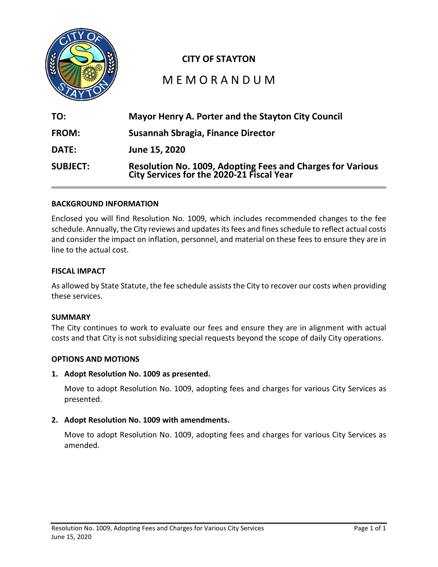

## **CITY OF STAYTON**

# M E M O R A N D U M

| TO:             | Mayor Henry A. Porter and the Stayton City Council                                                      |
|-----------------|---------------------------------------------------------------------------------------------------------|
| <b>FROM:</b>    | Susannah Sbragia, Finance Director                                                                      |
| <b>DATE:</b>    | June 15, 2020                                                                                           |
| <b>SUBJECT:</b> | Resolution No. 1009, Adopting Fees and Charges for Various<br>City Services for the 2020-21 Fiscal Year |

#### **BACKGROUND INFORMATION**

Enclosed you will find Resolution No. 1009, which includes recommended changes to the fee schedule. Annually, the City reviews and updates its fees and fines schedule to reflect actual costs and consider the impact on inflation, personnel, and material on these fees to ensure they are in line to the actual cost.

#### **FISCAL IMPACT**

As allowed by State Statute, the fee schedule assists the City to recover our costs when providing these services.

#### **SUMMARY**

The City continues to work to evaluate our fees and ensure they are in alignment with actual costs and that City is not subsidizing special requests beyond the scope of daily City operations.

#### **OPTIONS AND MOTIONS**

**1. Adopt Resolution No. 1009 as presented.** 

Move to adopt Resolution No. 1009, adopting fees and charges for various City Services as presented.

#### **2. Adopt Resolution No. 1009 with amendments.**

Move to adopt Resolution No. 1009, adopting fees and charges for various City Services as amended.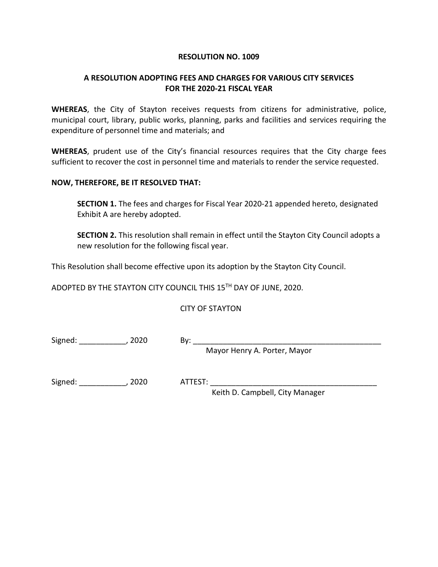#### **RESOLUTION NO. 1009**

#### **A RESOLUTION ADOPTING FEES AND CHARGES FOR VARIOUS CITY SERVICES FOR THE 2020-21 FISCAL YEAR**

**WHEREAS**, the City of Stayton receives requests from citizens for administrative, police, municipal court, library, public works, planning, parks and facilities and services requiring the expenditure of personnel time and materials; and

**WHEREAS**, prudent use of the City's financial resources requires that the City charge fees sufficient to recover the cost in personnel time and materials to render the service requested.

#### **NOW, THEREFORE, BE IT RESOLVED THAT:**

**SECTION 1.** The fees and charges for Fiscal Year 2020-21 appended hereto, designated Exhibit A are hereby adopted.

**SECTION 2.** This resolution shall remain in effect until the Stayton City Council adopts a new resolution for the following fiscal year.

This Resolution shall become effective upon its adoption by the Stayton City Council.

ADOPTED BY THE STAYTON CITY COUNCIL THIS 15TH DAY OF JUNE, 2020.

CITY OF STAYTON

Signed: \_\_\_\_\_\_\_\_\_\_\_\_\_\_, 2020 By: \_\_\_\_\_

Mayor Henry A. Porter, Mayor

Signed: \_\_\_\_\_\_\_\_\_\_\_, 2020 ATTEST: \_\_\_\_\_\_\_\_\_\_\_\_\_\_\_\_\_\_\_\_\_\_\_\_\_\_\_\_\_\_\_\_\_\_\_\_\_\_\_

Keith D. Campbell, City Manager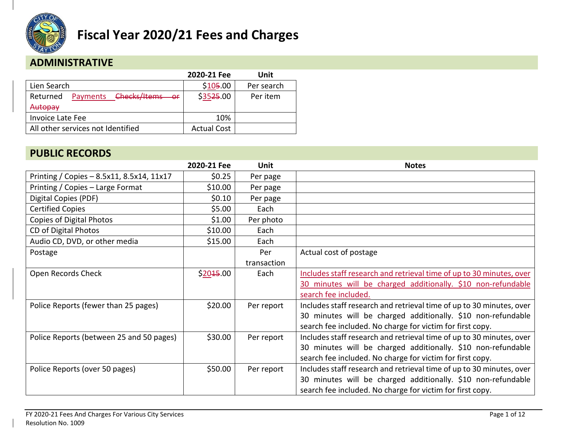

## **ADMINISTRATIVE**

|                                      | 2020-21 Fee        | Unit       |
|--------------------------------------|--------------------|------------|
| Lien Search                          | \$105.00           | Per search |
| Payments Checks/Items or<br>Returned | \$3525.00          | Per item   |
| Autopay                              |                    |            |
| <b>Invoice Late Fee</b>              | 10%                |            |
| All other services not Identified    | <b>Actual Cost</b> |            |

## **PUBLIC RECORDS**

|                                           | 2020-21 Fee | Unit        | <b>Notes</b>                                                         |
|-------------------------------------------|-------------|-------------|----------------------------------------------------------------------|
| Printing / Copies - 8.5x11, 8.5x14, 11x17 | \$0.25      | Per page    |                                                                      |
| Printing / Copies - Large Format          | \$10.00     | Per page    |                                                                      |
| Digital Copies (PDF)                      | \$0.10      | Per page    |                                                                      |
| <b>Certified Copies</b>                   | \$5.00      | Each        |                                                                      |
| Copies of Digital Photos                  | \$1.00      | Per photo   |                                                                      |
| CD of Digital Photos                      | \$10.00     | Each        |                                                                      |
| Audio CD, DVD, or other media             | \$15.00     | Each        |                                                                      |
| Postage                                   |             | Per         | Actual cost of postage                                               |
|                                           |             | transaction |                                                                      |
| Open Records Check                        | \$2045.00   | Each        | Includes staff research and retrieval time of up to 30 minutes, over |
|                                           |             |             | 30 minutes will be charged additionally. \$10 non-refundable         |
|                                           |             |             | search fee included.                                                 |
| Police Reports (fewer than 25 pages)      | \$20.00     | Per report  | Includes staff research and retrieval time of up to 30 minutes, over |
|                                           |             |             | 30 minutes will be charged additionally. \$10 non-refundable         |
|                                           |             |             | search fee included. No charge for victim for first copy.            |
| Police Reports (between 25 and 50 pages)  | \$30.00     | Per report  | Includes staff research and retrieval time of up to 30 minutes, over |
|                                           |             |             | 30 minutes will be charged additionally. \$10 non-refundable         |
|                                           |             |             | search fee included. No charge for victim for first copy.            |
| Police Reports (over 50 pages)            | \$50.00     | Per report  | Includes staff research and retrieval time of up to 30 minutes, over |
|                                           |             |             | 30 minutes will be charged additionally. \$10 non-refundable         |
|                                           |             |             | search fee included. No charge for victim for first copy.            |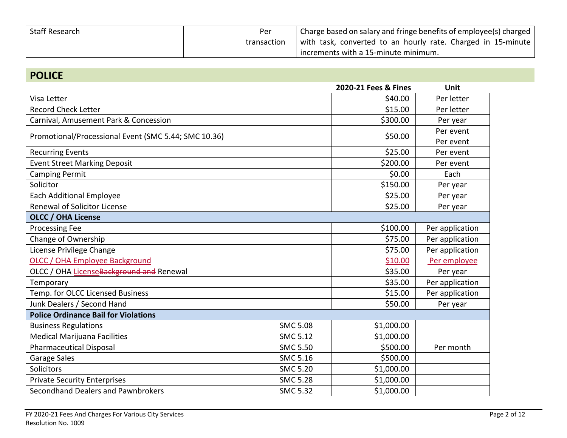| Staff Research | Per         | Charge based on salary and fringe benefits of employee(s) charged |  |  |
|----------------|-------------|-------------------------------------------------------------------|--|--|
|                | transaction | with task, converted to an hourly rate. Charged in 15-minute      |  |  |
|                |             | increments with a 15-minute minimum.                              |  |  |

# **POLICE**

|                                                      |                 | 2020-21 Fees & Fines | <b>Unit</b>     |  |  |
|------------------------------------------------------|-----------------|----------------------|-----------------|--|--|
| Visa Letter                                          |                 | \$40.00              | Per letter      |  |  |
| <b>Record Check Letter</b>                           |                 | \$15.00              | Per letter      |  |  |
| Carnival, Amusement Park & Concession                |                 | \$300.00             | Per year        |  |  |
| Promotional/Processional Event (SMC 5.44; SMC 10.36) |                 | \$50.00              | Per event       |  |  |
|                                                      |                 |                      | Per event       |  |  |
| <b>Recurring Events</b>                              |                 | \$25.00              | Per event       |  |  |
| <b>Event Street Marking Deposit</b>                  |                 | \$200.00             | Per event       |  |  |
| <b>Camping Permit</b>                                |                 | \$0.00               | Each            |  |  |
| Solicitor                                            |                 | \$150.00             | Per year        |  |  |
| <b>Each Additional Employee</b>                      |                 | \$25.00              | Per year        |  |  |
| <b>Renewal of Solicitor License</b>                  |                 | \$25.00              | Per year        |  |  |
| <b>OLCC / OHA License</b>                            |                 |                      |                 |  |  |
| <b>Processing Fee</b>                                |                 | \$100.00             | Per application |  |  |
| Change of Ownership                                  | \$75.00         | Per application      |                 |  |  |
| License Privilege Change                             | \$75.00         | Per application      |                 |  |  |
| OLCC / OHA Employee Background                       | \$10.00         | Per employee         |                 |  |  |
| OLCC / OHA License Background and Renewal            | \$35.00         | Per year             |                 |  |  |
| Temporary                                            |                 | \$35.00              | Per application |  |  |
| Temp. for OLCC Licensed Business                     |                 | \$15.00              | Per application |  |  |
| Junk Dealers / Second Hand                           |                 | \$50.00              | Per year        |  |  |
| <b>Police Ordinance Bail for Violations</b>          |                 |                      |                 |  |  |
| <b>Business Regulations</b>                          | <b>SMC 5.08</b> | \$1,000.00           |                 |  |  |
| <b>Medical Marijuana Facilities</b>                  | <b>SMC 5.12</b> | \$1,000.00           |                 |  |  |
| <b>Pharmaceutical Disposal</b>                       | <b>SMC 5.50</b> | \$500.00             | Per month       |  |  |
| Garage Sales                                         | <b>SMC 5.16</b> | \$500.00             |                 |  |  |
| Solicitors                                           | <b>SMC 5.20</b> | \$1,000.00           |                 |  |  |
| <b>Private Security Enterprises</b>                  | <b>SMC 5.28</b> | \$1,000.00           |                 |  |  |
| Secondhand Dealers and Pawnbrokers                   | <b>SMC 5.32</b> | \$1,000.00           |                 |  |  |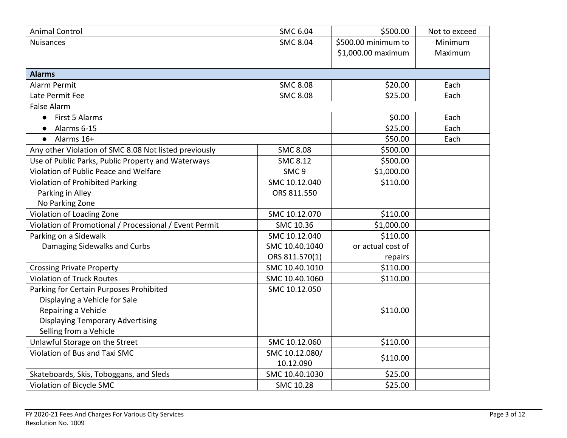| <b>Animal Control</b>                                  | <b>SMC 6.04</b>  | \$500.00            | Not to exceed |
|--------------------------------------------------------|------------------|---------------------|---------------|
| <b>Nuisances</b>                                       | <b>SMC 8.04</b>  | \$500.00 minimum to | Minimum       |
|                                                        |                  | \$1,000.00 maximum  | Maximum       |
|                                                        |                  |                     |               |
| <b>Alarms</b>                                          |                  |                     |               |
| Alarm Permit                                           | <b>SMC 8.08</b>  | \$20.00             | Each          |
| Late Permit Fee                                        | <b>SMC 8.08</b>  | \$25.00             | Each          |
| <b>False Alarm</b>                                     |                  |                     |               |
| • First 5 Alarms                                       |                  | \$0.00              | Each          |
| Alarms 6-15<br>$\bullet$                               |                  | \$25.00             | Each          |
| Alarms 16+<br>$\bullet$                                |                  | \$50.00             | Each          |
| Any other Violation of SMC 8.08 Not listed previously  | <b>SMC 8.08</b>  | \$500.00            |               |
| Use of Public Parks, Public Property and Waterways     | <b>SMC 8.12</b>  | \$500.00            |               |
| Violation of Public Peace and Welfare                  | SMC <sub>9</sub> | \$1,000.00          |               |
| Violation of Prohibited Parking                        | SMC 10.12.040    | \$110.00            |               |
| Parking in Alley                                       | ORS 811.550      |                     |               |
| No Parking Zone                                        |                  |                     |               |
| Violation of Loading Zone                              | SMC 10.12.070    | \$110.00            |               |
| Violation of Promotional / Processional / Event Permit | SMC 10.36        | \$1,000.00          |               |
| Parking on a Sidewalk                                  | SMC 10.12.040    | \$110.00            |               |
| Damaging Sidewalks and Curbs                           | SMC 10.40.1040   | or actual cost of   |               |
|                                                        | ORS 811.570(1)   | repairs             |               |
| <b>Crossing Private Property</b>                       | SMC 10.40.1010   | \$110.00            |               |
| <b>Violation of Truck Routes</b>                       | SMC 10.40.1060   | \$110.00            |               |
| Parking for Certain Purposes Prohibited                | SMC 10.12.050    |                     |               |
| Displaying a Vehicle for Sale                          |                  |                     |               |
| Repairing a Vehicle                                    |                  | \$110.00            |               |
| <b>Displaying Temporary Advertising</b>                |                  |                     |               |
| Selling from a Vehicle                                 |                  |                     |               |
| Unlawful Storage on the Street                         | SMC 10.12.060    | \$110.00            |               |
| Violation of Bus and Taxi SMC                          | SMC 10.12.080/   | \$110.00            |               |
|                                                        | 10.12.090        |                     |               |
| Skateboards, Skis, Toboggans, and Sleds                | SMC 10.40.1030   | \$25.00             |               |
| Violation of Bicycle SMC                               | SMC 10.28        | \$25.00             |               |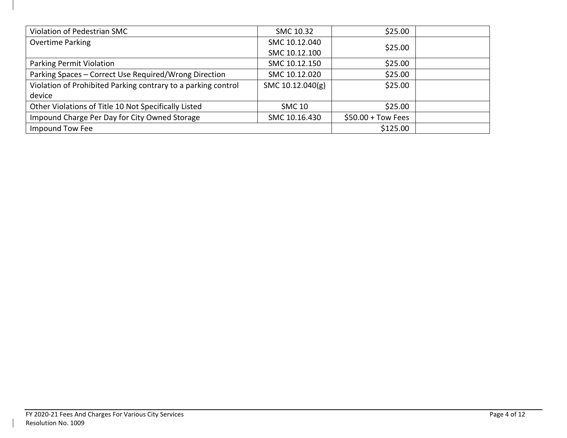| Violation of Pedestrian SMC                                   | SMC 10.32        | \$25.00              |  |
|---------------------------------------------------------------|------------------|----------------------|--|
| <b>Overtime Parking</b>                                       | SMC 10.12.040    |                      |  |
|                                                               | SMC 10.12.100    | \$25.00              |  |
| Parking Permit Violation                                      | SMC 10.12.150    | \$25.00              |  |
| Parking Spaces - Correct Use Required/Wrong Direction         | SMC 10.12.020    | \$25.00              |  |
| Violation of Prohibited Parking contrary to a parking control | SMC 10.12.040(g) | \$25.00              |  |
| device                                                        |                  |                      |  |
| Other Violations of Title 10 Not Specifically Listed          | <b>SMC 10</b>    | \$25.00              |  |
| Impound Charge Per Day for City Owned Storage                 | SMC 10.16.430    | $$50.00 + Town Fees$ |  |
| Impound Tow Fee                                               |                  | \$125.00             |  |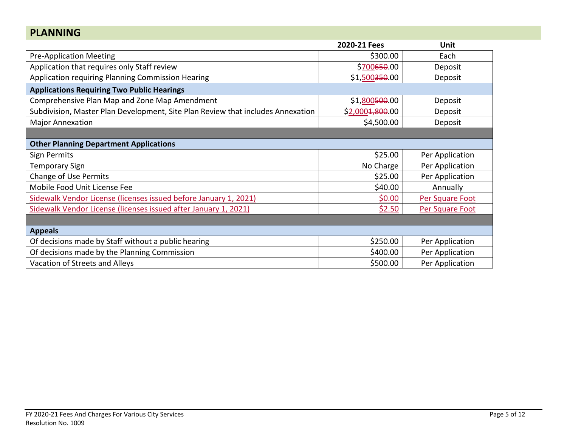| <b>PLANNING</b>                                                                 |                            |                 |
|---------------------------------------------------------------------------------|----------------------------|-----------------|
|                                                                                 | 2020-21 Fees               | <b>Unit</b>     |
| <b>Pre-Application Meeting</b>                                                  | \$300.00                   | Each            |
| Application that requires only Staff review                                     | \$700650.00                | Deposit         |
| Application requiring Planning Commission Hearing                               | \$1,500 <del>350</del> .00 | Deposit         |
| <b>Applications Requiring Two Public Hearings</b>                               |                            |                 |
| Comprehensive Plan Map and Zone Map Amendment                                   | \$1,800 <del>500</del> .00 | Deposit         |
| Subdivision, Master Plan Development, Site Plan Review that includes Annexation | \$2,0004,800.00            | Deposit         |
| <b>Major Annexation</b>                                                         | \$4,500.00                 | Deposit         |
|                                                                                 |                            |                 |
| <b>Other Planning Department Applications</b>                                   |                            |                 |
| Sign Permits                                                                    | \$25.00                    | Per Application |
| <b>Temporary Sign</b>                                                           | No Charge                  | Per Application |
| <b>Change of Use Permits</b>                                                    | \$25.00                    | Per Application |
| Mobile Food Unit License Fee                                                    | \$40.00                    | Annually        |
| Sidewalk Vendor License (licenses issued before January 1, 2021)                | \$0.00                     | Per Square Foot |
| Sidewalk Vendor License (licenses issued after January 1, 2021)                 | \$2.50                     | Per Square Foot |
|                                                                                 |                            |                 |
| <b>Appeals</b>                                                                  |                            |                 |
| Of decisions made by Staff without a public hearing                             | \$250.00                   | Per Application |
| Of decisions made by the Planning Commission                                    | \$400.00                   | Per Application |
| Vacation of Streets and Alleys                                                  | \$500.00                   | Per Application |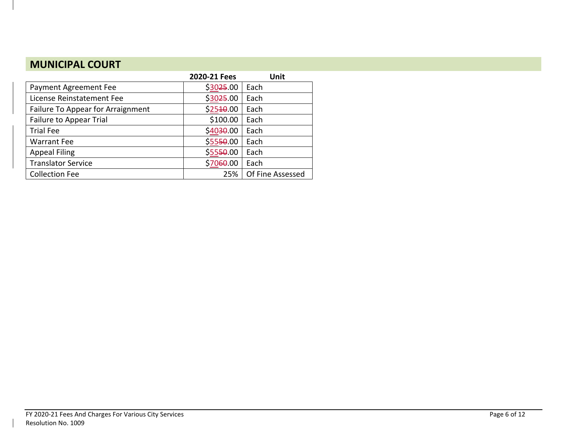# **MUNICIPAL COURT**

|                                          | 2020-21 Fees | Unit             |
|------------------------------------------|--------------|------------------|
| Payment Agreement Fee                    | \$3025.00    | Each             |
| License Reinstatement Fee                | \$3025.00    | Each             |
| <b>Failure To Appear for Arraignment</b> | \$2540.00    | Each             |
| <b>Failure to Appear Trial</b>           | \$100.00     | Each             |
| <b>Trial Fee</b>                         | \$4030.00    | Each             |
| <b>Warrant Fee</b>                       | \$5550.00    | Each             |
| <b>Appeal Filing</b>                     | \$5550.00    | Each             |
| <b>Translator Service</b>                | \$7060.00    | Each             |
| <b>Collection Fee</b>                    | 25%          | Of Fine Assessed |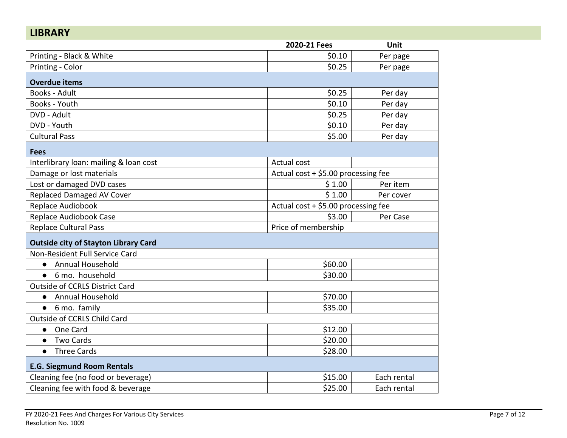| <b>LIBRARY</b>                              |                                     |             |
|---------------------------------------------|-------------------------------------|-------------|
|                                             | 2020-21 Fees                        | Unit        |
| Printing - Black & White                    | \$0.10                              | Per page    |
| Printing - Color                            | \$0.25                              | Per page    |
| <b>Overdue items</b>                        |                                     |             |
| <b>Books - Adult</b>                        | \$0.25                              | Per day     |
| Books - Youth                               | \$0.10                              | Per day     |
| DVD - Adult                                 | \$0.25                              | Per day     |
| DVD - Youth                                 | \$0.10                              | Per day     |
| <b>Cultural Pass</b>                        | \$5.00                              | Per day     |
| <b>Fees</b>                                 |                                     |             |
| Interlibrary loan: mailing & loan cost      | Actual cost                         |             |
| Damage or lost materials                    | Actual cost + \$5.00 processing fee |             |
| Lost or damaged DVD cases                   | \$1.00                              | Per item    |
| <b>Replaced Damaged AV Cover</b>            | \$1.00                              | Per cover   |
| Replace Audiobook                           | Actual cost + \$5.00 processing fee |             |
| <b>Replace Audiobook Case</b>               | \$3.00                              | Per Case    |
| <b>Replace Cultural Pass</b>                | Price of membership                 |             |
| <b>Outside city of Stayton Library Card</b> |                                     |             |
| Non-Resident Full Service Card              |                                     |             |
| Annual Household<br>$\bullet$               | \$60.00                             |             |
| 6 mo. household<br>$\bullet$                | \$30.00                             |             |
| <b>Outside of CCRLS District Card</b>       |                                     |             |
| Annual Household<br>$\bullet$               | \$70.00                             |             |
| • 6 mo. family                              | \$35.00                             |             |
| Outside of CCRLS Child Card                 |                                     |             |
| One Card<br>$\bullet$                       | \$12.00                             |             |
| <b>Two Cards</b><br>$\bullet$               | \$20.00                             |             |
| <b>Three Cards</b><br>$\bullet$             | \$28.00                             |             |
| <b>E.G. Siegmund Room Rentals</b>           |                                     |             |
| Cleaning fee (no food or beverage)          | \$15.00                             | Each rental |
| Cleaning fee with food & beverage           | \$25.00                             | Each rental |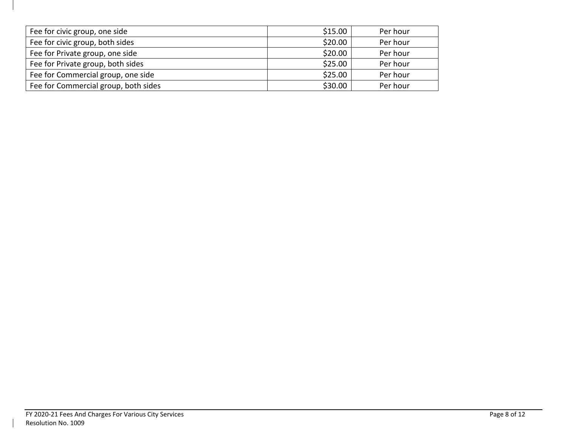| Fee for civic group, one side        | \$15.00 | Per hour |
|--------------------------------------|---------|----------|
| Fee for civic group, both sides      | \$20.00 | Per hour |
| Fee for Private group, one side      | \$20.00 | Per hour |
| Fee for Private group, both sides    | \$25.00 | Per hour |
| Fee for Commercial group, one side   | \$25.00 | Per hour |
| Fee for Commercial group, both sides | \$30.00 | Per hour |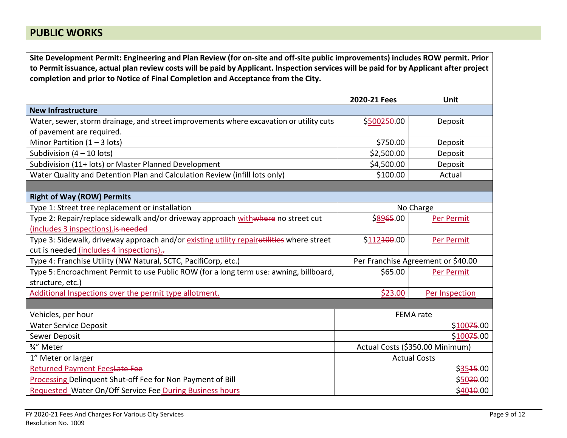## **PUBLIC WORKS**

**Site Development Permit: Engineering and Plan Review (for on-site and off-site public improvements) includes ROW permit. Prior to Permit issuance, actual plan review costs will be paid by Applicant. Inspection services will be paid for by Applicant after project completion and prior to Notice of Final Completion and Acceptance from the City.**

|                                                                                          | 2020-21 Fees                    | <b>Unit</b>                        |
|------------------------------------------------------------------------------------------|---------------------------------|------------------------------------|
| <b>New Infrastructure</b>                                                                |                                 |                                    |
| Water, sewer, storm drainage, and street improvements where excavation or utility cuts   | \$500250.00                     | Deposit                            |
| of pavement are required.                                                                |                                 |                                    |
| Minor Partition $(1 - 3$ lots)                                                           | \$750.00                        | Deposit                            |
| Subdivision $(4 - 10$ lots)                                                              | \$2,500.00                      | Deposit                            |
| Subdivision (11+ lots) or Master Planned Development                                     | \$4,500.00                      | Deposit                            |
| Water Quality and Detention Plan and Calculation Review (infill lots only)               | \$100.00                        | Actual                             |
|                                                                                          |                                 |                                    |
| <b>Right of Way (ROW) Permits</b>                                                        |                                 |                                    |
| Type 1: Street tree replacement or installation                                          | No Charge                       |                                    |
| Type 2: Repair/replace sidewalk and/or driveway approach withwhere no street cut         | \$8965.00                       | Per Permit                         |
| (includes 3 inspections). is needed                                                      |                                 |                                    |
| Type 3: Sidewalk, driveway approach and/or existing utility repairutilities where street | \$112 <del>100</del> .00        | Per Permit                         |
| cut is needed (includes 4 inspections).-                                                 |                                 |                                    |
| Type 4: Franchise Utility (NW Natural, SCTC, PacifiCorp, etc.)                           |                                 | Per Franchise Agreement or \$40.00 |
| Type 5: Encroachment Permit to use Public ROW (for a long term use: awning, billboard,   | \$65.00                         | Per Permit                         |
| structure, etc.)                                                                         |                                 |                                    |
| Additional Inspections over the permit type allotment.                                   | \$23.00                         | Per Inspection                     |
|                                                                                          |                                 |                                    |
| Vehicles, per hour                                                                       |                                 | <b>FEMA</b> rate                   |
| <b>Water Service Deposit</b>                                                             |                                 | \$10075.00                         |
| Sewer Deposit                                                                            |                                 | \$10075.00                         |
| 3/4" Meter                                                                               | Actual Costs (\$350.00 Minimum) |                                    |
| 1" Meter or larger                                                                       | <b>Actual Costs</b>             |                                    |
| <b>Returned Payment FeesLate Fee</b>                                                     |                                 | \$3545.00                          |
| Processing Delinquent Shut-off Fee for Non Payment of Bill                               | \$5020.00                       |                                    |
| Requested Water On/Off Service Fee During Business hours                                 |                                 | \$4010.00                          |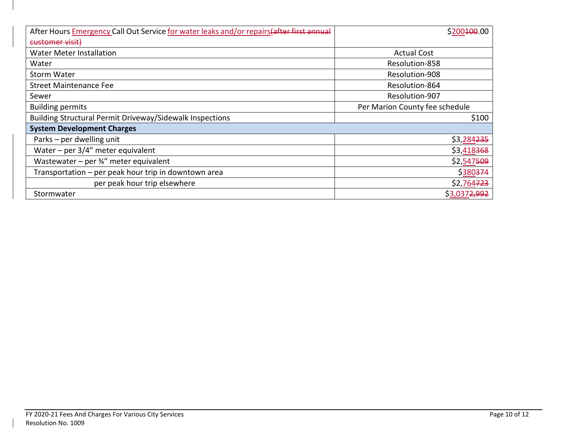| After Hours Emergency Call Out Service for water leaks and/or repairs (after first annual | \$200 <del>100</del> .00       |  |
|-------------------------------------------------------------------------------------------|--------------------------------|--|
| customer visit)                                                                           |                                |  |
| <b>Water Meter Installation</b>                                                           | <b>Actual Cost</b>             |  |
| Water                                                                                     | Resolution-858                 |  |
| <b>Storm Water</b>                                                                        | Resolution-908                 |  |
| <b>Street Maintenance Fee</b>                                                             | Resolution-864                 |  |
| Sewer                                                                                     | Resolution-907                 |  |
| <b>Building permits</b>                                                                   | Per Marion County fee schedule |  |
| <b>Building Structural Permit Driveway/Sidewalk Inspections</b>                           | \$100                          |  |
| <b>System Development Charges</b>                                                         |                                |  |
| Parks - per dwelling unit                                                                 | \$3,284 <del>235</del>         |  |
| Water – per $3/4$ " meter equivalent                                                      | \$3,418368                     |  |
| Wastewater – per $\frac{3}{4}$ " meter equivalent                                         | \$2,547509                     |  |
| Transportation - per peak hour trip in downtown area                                      | \$380374                       |  |
| per peak hour trip elsewhere                                                              | \$2,764723                     |  |
| Stormwater                                                                                | \$3,037 <del>2,992</del>       |  |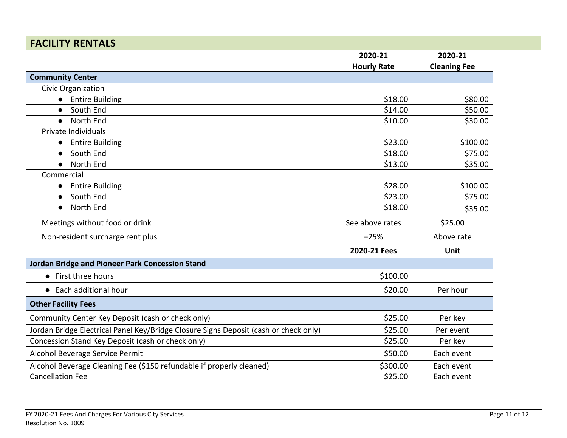# **FACILITY RENTALS**

|                                                                                      | 2020-21            | 2020-21             |
|--------------------------------------------------------------------------------------|--------------------|---------------------|
|                                                                                      | <b>Hourly Rate</b> | <b>Cleaning Fee</b> |
| <b>Community Center</b>                                                              |                    |                     |
| Civic Organization                                                                   |                    |                     |
| <b>Entire Building</b>                                                               | \$18.00            | \$80.00             |
| South End<br>$\bullet$                                                               | \$14.00            | \$50.00             |
| North End<br>$\bullet$                                                               | \$10.00            | \$30.00             |
| Private Individuals                                                                  |                    |                     |
| <b>Entire Building</b><br>$\bullet$                                                  | \$23.00            | \$100.00            |
| South End<br>$\bullet$                                                               | \$18.00            | \$75.00             |
| North End<br>$\bullet$                                                               | \$13.00            | \$35.00             |
| Commercial                                                                           |                    |                     |
| <b>Entire Building</b><br>$\bullet$                                                  | \$28.00            | \$100.00            |
| South End<br>$\bullet$                                                               | \$23.00            | \$75.00             |
| North End<br>$\bullet$                                                               | \$18.00            | \$35.00             |
| Meetings without food or drink                                                       | See above rates    | \$25.00             |
| Non-resident surcharge rent plus                                                     | $+25%$             | Above rate          |
|                                                                                      | 2020-21 Fees       | Unit                |
| Jordan Bridge and Pioneer Park Concession Stand                                      |                    |                     |
| • First three hours                                                                  | \$100.00           |                     |
| • Each additional hour                                                               | \$20.00            | Per hour            |
| <b>Other Facility Fees</b>                                                           |                    |                     |
| Community Center Key Deposit (cash or check only)                                    | \$25.00            | Per key             |
| Jordan Bridge Electrical Panel Key/Bridge Closure Signs Deposit (cash or check only) | \$25.00            | Per event           |
| Concession Stand Key Deposit (cash or check only)                                    | \$25.00            | Per key             |
| Alcohol Beverage Service Permit                                                      | \$50.00            | Each event          |
| Alcohol Beverage Cleaning Fee (\$150 refundable if properly cleaned)                 | \$300.00           | Each event          |
| <b>Cancellation Fee</b>                                                              | \$25.00            | Each event          |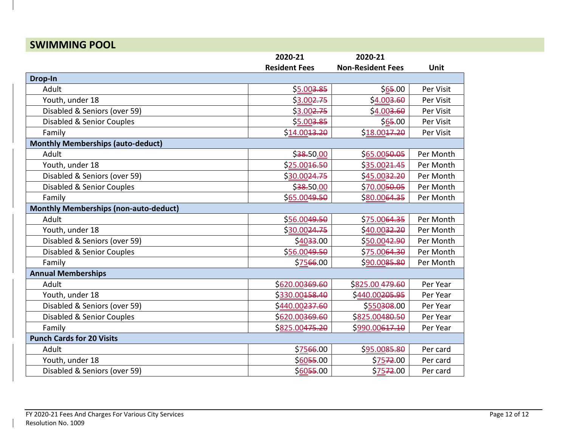#### **SWIMMING POOL 2020-21 Resident Fees 2020-21 Non-Resident Fees Unit Drop-In** Adult \$5.003.85 \$65.00 Per Visit Youth, under 18 **Accord 20 Per Visit 18 Example 20 Per Visit 18 Example 20 Per Visit 18 Example 20 Per Visit** Disabled & Seniors (over 59)  $\vert$  \$3.00<del>2.75</del> \$4.00<del>3.60</del> Per Visit Disabled & Senior Couples **business and the Couples \$5.003.85** \$65.00 \$65.00 Per Visit Family \$14.0013.20 \$18.0017.20 Per Visit **Monthly Memberships (auto-deduct)** Adult \$38.50.00 \$65.0050.05 Per Month Youth, under 18 **Example 20 Example 20** \$25.00<del>16.50</del> \$35.0021.45 Per Month Disabled & Seniors (over 59)  $\vert$  \$30.00<del>24.75</del> \$45.00<del>32.20</del> Per Month Disabled & Senior Couples <br>  $\begin{array}{ccc} \text{Disabled & 8 \n} & \text{Per Month} \end{array}$ Family | \$<u>65.00</u>4<del>9.50</del> \$<u>80.00</u>64.<del>35</del> | Per Month **Monthly Memberships (non-auto-deduct)** Adult | \$<u>56.00</u>4<del>9.50</del> \$<u>75.00</u><del>64.35</del> | Per Month Youth, under 18 **And Struth 2018 330.0024.75** \$40.0032.20 Per Month Disabled & Seniors (over 59) \$4033.00 \$50.0042.90 Per Month Disabled & Senior Couples **1998 Couples 1998 Contract 1998 Contract 1998 Contract 1999.50 <b>Per Month** Family \$7566.00 \$90.0085.80 Per Month **Annual Memberships** Adult \$620.00369.60 \$825.00 479.60 Per Year Youth, under 18 **Per Year 18 Per Year 18 Contact Account** 18 **Per Year 18** Per Year 18 Disabled & Seniors (over 59)  $\vert$  \$440.00<del>237.60</del> \$550308.00 Per Year Disabled & Senior Couples **1992.000-100369.60 Per Year 1993.00480.50 Per Year** Per Year Family \$825.00475.20 \$990.00617.10 Per Year **Punch Cards for 20 Visits** Adult | \$<u>75</u><del>66</del>.00 | \$<u>95.00</u><del>85.80</del> | Per card Youth, under 18 \$6055.00 \$7572.00 Per card Disabled & Seniors (over 59)  $\vert$  \$6055.00  $\vert$  \$7572.00 Per card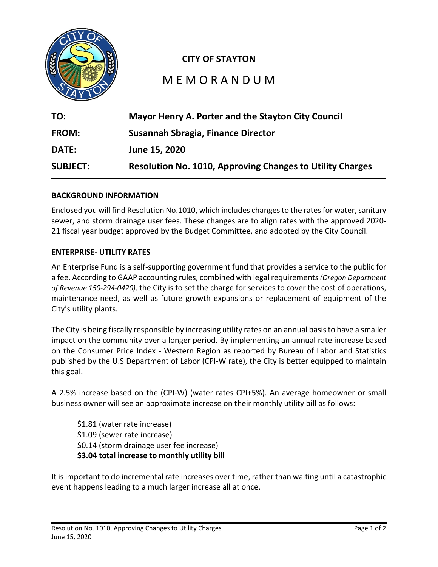

### **CITY OF STAYTON**

# M E M O R A N D U M

| TO:             | Mayor Henry A. Porter and the Stayton City Council               |
|-----------------|------------------------------------------------------------------|
| <b>FROM:</b>    | Susannah Sbragia, Finance Director                               |
| <b>DATE:</b>    | June 15, 2020                                                    |
| <b>SUBJECT:</b> | <b>Resolution No. 1010, Approving Changes to Utility Charges</b> |

#### **BACKGROUND INFORMATION**

Enclosed you will find Resolution No.1010, which includes changes to the rates for water, sanitary sewer, and storm drainage user fees. These changes are to align rates with the approved 2020- 21 fiscal year budget approved by the Budget Committee, and adopted by the City Council.

#### **ENTERPRISE- UTILITY RATES**

An Enterprise Fund is a self-supporting government fund that provides a service to the public for a fee. According to GAAP accounting rules, combined with legal requirements*(Oregon Department of Revenue 150-294-0420),* the City is to set the charge for services to cover the cost of operations, maintenance need, as well as future growth expansions or replacement of equipment of the City's utility plants.

The City is being fiscally responsible by increasing utility rates on an annual basisto have a smaller impact on the community over a longer period. By implementing an annual rate increase based on the Consumer Price Index - Western Region as reported by Bureau of Labor and Statistics published by the U.S Department of Labor (CPI-W rate), the City is better equipped to maintain this goal.

A 2.5% increase based on the (CPI-W) (water rates CPI+5%). An average homeowner or small business owner will see an approximate increase on their monthly utility bill as follows:

\$1.81 (water rate increase) \$1.09 (sewer rate increase) \$0.14 (storm drainage user fee increase) **\$3.04 total increase to monthly utility bill**

It is important to do incremental rate increases over time, rather than waiting until a catastrophic event happens leading to a much larger increase all at once.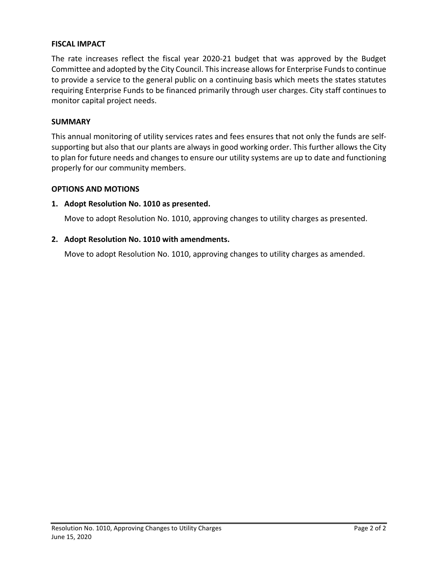#### **FISCAL IMPACT**

The rate increases reflect the fiscal year 2020-21 budget that was approved by the Budget Committee and adopted by the City Council. This increase allows for Enterprise Funds to continue to provide a service to the general public on a continuing basis which meets the states statutes requiring Enterprise Funds to be financed primarily through user charges. City staff continues to monitor capital project needs.

#### **SUMMARY**

This annual monitoring of utility services rates and fees ensures that not only the funds are selfsupporting but also that our plants are always in good working order. This further allows the City to plan for future needs and changes to ensure our utility systems are up to date and functioning properly for our community members.

#### **OPTIONS AND MOTIONS**

#### **1. Adopt Resolution No. 1010 as presented.**

Move to adopt Resolution No. 1010, approving changes to utility charges as presented.

#### **2. Adopt Resolution No. 1010 with amendments.**

Move to adopt Resolution No. 1010, approving changes to utility charges as amended.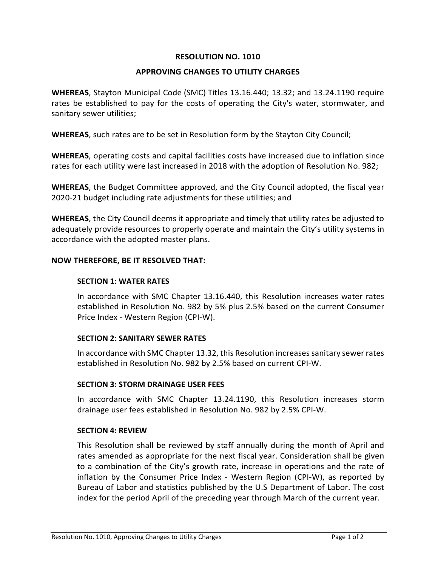#### **RESOLUTION NO. 1010**

#### **APPROVING CHANGES TO UTILITY CHARGES**

**WHEREAS**, Stayton Municipal Code (SMC) Titles 13.16.440; 13.32; and 13.24.1190 require rates be established to pay for the costs of operating the City's water, stormwater, and sanitary sewer utilities;

**WHEREAS**, such rates are to be set in Resolution form by the Stayton City Council;

**WHEREAS**, operating costs and capital facilities costs have increased due to inflation since rates for each utility were last increased in 2018 with the adoption of Resolution No. 982;

**WHEREAS**, the Budget Committee approved, and the City Council adopted, the fiscal year 2020-21 budget including rate adjustments for these utilities; and

**WHEREAS**, the City Council deems it appropriate and timely that utility rates be adjusted to adequately provide resources to properly operate and maintain the City's utility systems in accordance with the adopted master plans.

#### **NOW THEREFORE, BE IT RESOLVED THAT:**

#### **SECTION 1: WATER RATES**

In accordance with SMC Chapter 13.16.440, this Resolution increases water rates established in Resolution No. 982 by 5% plus 2.5% based on the current Consumer Price Index - Western Region (CPI-W).

#### **SECTION 2: SANITARY SEWER RATES**

In accordance with SMC Chapter 13.32, this Resolution increasessanitary sewer rates established in Resolution No. 982 by 2.5% based on current CPI-W.

#### **SECTION 3: STORM DRAINAGE USER FEES**

In accordance with SMC Chapter 13.24.1190, this Resolution increases storm drainage user fees established in Resolution No. 982 by 2.5% CPI-W.

#### **SECTION 4: REVIEW**

This Resolution shall be reviewed by staff annually during the month of April and rates amended as appropriate for the next fiscal year. Consideration shall be given to a combination of the City's growth rate, increase in operations and the rate of inflation by the Consumer Price Index - Western Region (CPI-W), as reported by Bureau of Labor and statistics published by the U.S Department of Labor. The cost index for the period April of the preceding year through March of the current year.